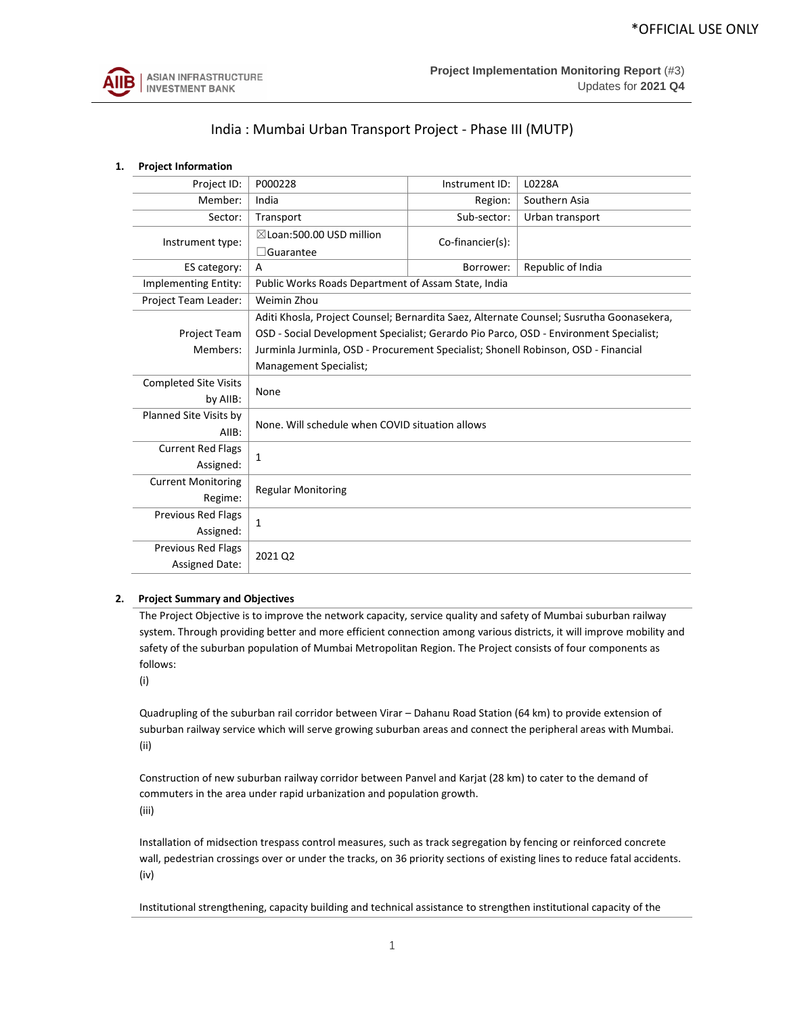

# India : Mumbai Urban Transport Project - Phase III (MUTP)

# **1. Project Information**

| Project ID:                  | P000228                                                                               | Instrument ID:                                  | L0228A                                                                                   |  |  |
|------------------------------|---------------------------------------------------------------------------------------|-------------------------------------------------|------------------------------------------------------------------------------------------|--|--|
| Member:                      | India                                                                                 | Region:                                         | Southern Asia                                                                            |  |  |
| Sector:                      | Transport                                                                             | Sub-sector:                                     | Urban transport                                                                          |  |  |
| Instrument type:             | $\boxtimes$ Loan:500.00 USD million                                                   | Co-financier(s):                                |                                                                                          |  |  |
|                              | $\Box$ Guarantee                                                                      |                                                 |                                                                                          |  |  |
| ES category:                 | A                                                                                     | Borrower:                                       | Republic of India                                                                        |  |  |
| Implementing Entity:         | Public Works Roads Department of Assam State, India                                   |                                                 |                                                                                          |  |  |
| Project Team Leader:         | Weimin Zhou                                                                           |                                                 |                                                                                          |  |  |
|                              |                                                                                       |                                                 | Aditi Khosla, Project Counsel; Bernardita Saez, Alternate Counsel; Susrutha Goonasekera, |  |  |
| <b>Project Team</b>          | OSD - Social Development Specialist; Gerardo Pio Parco, OSD - Environment Specialist; |                                                 |                                                                                          |  |  |
| Members:                     | Jurminla Jurminla, OSD - Procurement Specialist; Shonell Robinson, OSD - Financial    |                                                 |                                                                                          |  |  |
|                              | <b>Management Specialist;</b>                                                         |                                                 |                                                                                          |  |  |
| <b>Completed Site Visits</b> |                                                                                       |                                                 |                                                                                          |  |  |
| by AllB:                     | None                                                                                  |                                                 |                                                                                          |  |  |
| Planned Site Visits by       |                                                                                       | None. Will schedule when COVID situation allows |                                                                                          |  |  |
| AIIB:                        |                                                                                       |                                                 |                                                                                          |  |  |
| <b>Current Red Flags</b>     |                                                                                       |                                                 |                                                                                          |  |  |
| Assigned:                    | 1                                                                                     |                                                 |                                                                                          |  |  |
| <b>Current Monitoring</b>    |                                                                                       |                                                 |                                                                                          |  |  |
| Regime:                      | <b>Regular Monitoring</b>                                                             |                                                 |                                                                                          |  |  |
| <b>Previous Red Flags</b>    | 1                                                                                     |                                                 |                                                                                          |  |  |
| Assigned:                    |                                                                                       |                                                 |                                                                                          |  |  |
| <b>Previous Red Flags</b>    | 2021 Q2                                                                               |                                                 |                                                                                          |  |  |
| <b>Assigned Date:</b>        |                                                                                       |                                                 |                                                                                          |  |  |

# **2. Project Summary and Objectives**

The Project Objective is to improve the network capacity, service quality and safety of Mumbai suburban railway system. Through providing better and more efficient connection among various districts, it will improve mobility and safety of the suburban population of Mumbai Metropolitan Region. The Project consists of four components as follows:

(i)

Quadrupling of the suburban rail corridor between Virar – Dahanu Road Station (64 km) to provide extension of suburban railway service which will serve growing suburban areas and connect the peripheral areas with Mumbai. (ii)

Construction of new suburban railway corridor between Panvel and Karjat (28 km) to cater to the demand of commuters in the area under rapid urbanization and population growth. (iii)

Installation of midsection trespass control measures, such as track segregation by fencing or reinforced concrete wall, pedestrian crossings over or under the tracks, on 36 priority sections of existing lines to reduce fatal accidents. (iv)

Institutional strengthening, capacity building and technical assistance to strengthen institutional capacity of the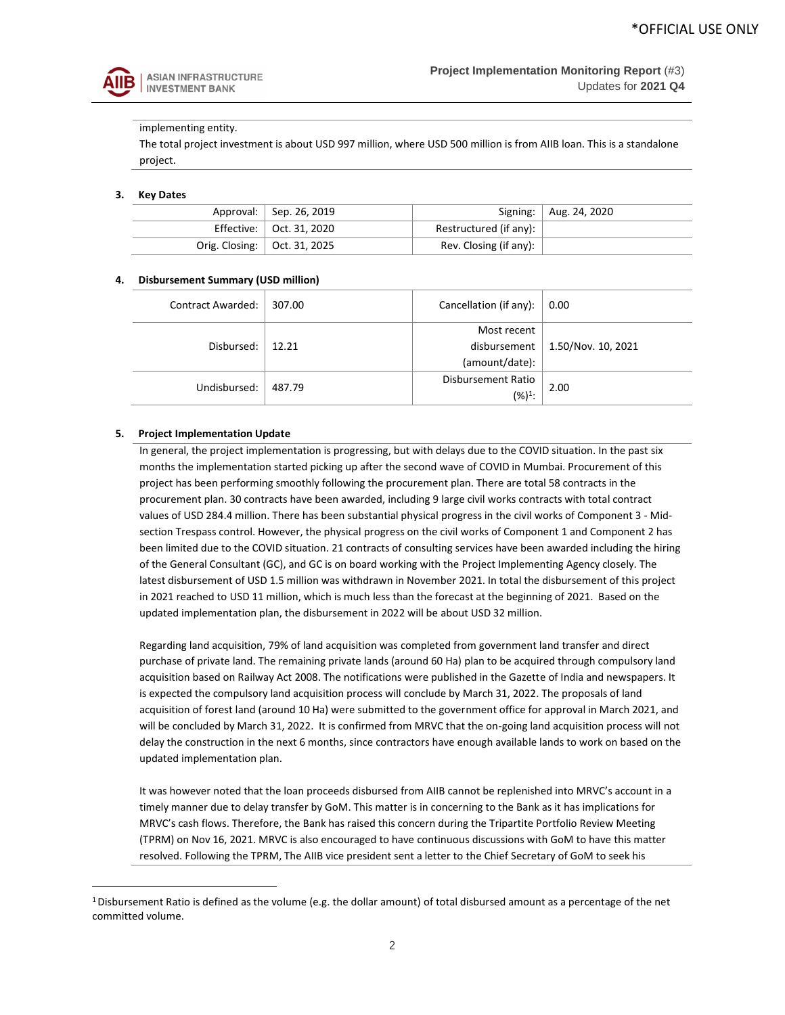

# implementing entity.

The total project investment is about USD 997 million, where USD 500 million is from AIIB loan. This is a standalone project.

### **3. Key Dates**

|  | Approval:   Sep. 26, 2019      |                                | Signing:   Aug. 24, 2020 |
|--|--------------------------------|--------------------------------|--------------------------|
|  | Effective:   Oct. 31, 2020     | Restructured (if any): $\vert$ |                          |
|  | Orig. Closing:   Oct. 31, 2025 | Rev. Closing (if any):         |                          |

### **4. Disbursement Summary (USD million)**

| <b>Contract Awarded:</b> | 307.00 | Cancellation (if any): | 0.00               |
|--------------------------|--------|------------------------|--------------------|
|                          |        | Most recent            |                    |
| Disbursed:               | 12.21  | disbursement           | 1.50/Nov. 10, 2021 |
|                          |        | (amount/date):         |                    |
| Undisbursed:             | 487.79 | Disbursement Ratio     | 2.00               |
|                          |        | $(%)1$ :               |                    |

### **5. Project Implementation Update**

In general, the project implementation is progressing, but with delays due to the COVID situation. In the past six months the implementation started picking up after the second wave of COVID in Mumbai. Procurement of this project has been performing smoothly following the procurement plan. There are total 58 contracts in the procurement plan. 30 contracts have been awarded, including 9 large civil works contracts with total contract values of USD 284.4 million. There has been substantial physical progress in the civil works of Component 3 - Midsection Trespass control. However, the physical progress on the civil works of Component 1 and Component 2 has been limited due to the COVID situation. 21 contracts of consulting services have been awarded including the hiring of the General Consultant (GC), and GC is on board working with the Project Implementing Agency closely. The latest disbursement of USD 1.5 million was withdrawn in November 2021. In total the disbursement of this project in 2021 reached to USD 11 million, which is much less than the forecast at the beginning of 2021. Based on the updated implementation plan, the disbursement in 2022 will be about USD 32 million.

Regarding land acquisition, 79% of land acquisition was completed from government land transfer and direct purchase of private land. The remaining private lands (around 60 Ha) plan to be acquired through compulsory land acquisition based on Railway Act 2008. The notifications were published in the Gazette of India and newspapers. It is expected the compulsory land acquisition process will conclude by March 31, 2022. The proposals of land acquisition of forest land (around 10 Ha) were submitted to the government office for approval in March 2021, and will be concluded by March 31, 2022. It is confirmed from MRVC that the on-going land acquisition process will not delay the construction in the next 6 months, since contractors have enough available lands to work on based on the updated implementation plan.

It was however noted that the loan proceeds disbursed from AIIB cannot be replenished into MRVC's account in a timely manner due to delay transfer by GoM. This matter is in concerning to the Bank as it has implications for MRVC's cash flows. Therefore, the Bank has raised this concern during the Tripartite Portfolio Review Meeting (TPRM) on Nov 16, 2021. MRVC is also encouraged to have continuous discussions with GoM to have this matter resolved. Following the TPRM, The AIIB vice president sent a letter to the Chief Secretary of GoM to seek his

<sup>&</sup>lt;sup>1</sup>Disbursement Ratio is defined as the volume (e.g. the dollar amount) of total disbursed amount as a percentage of the net committed volume.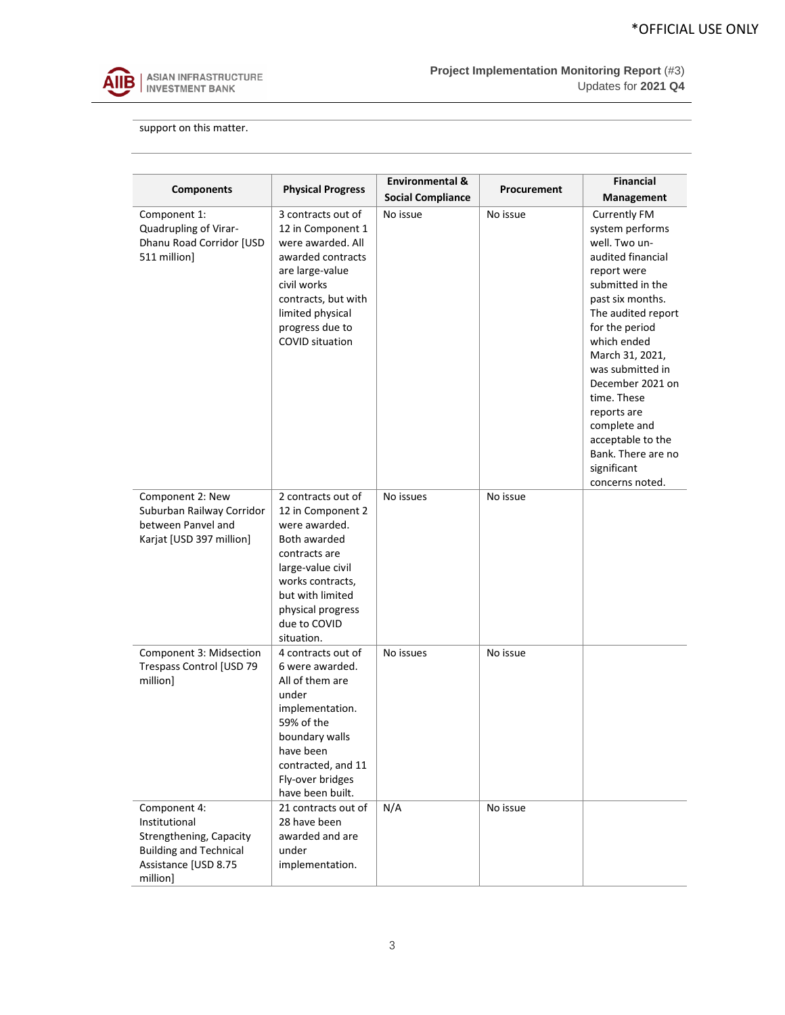

support on this matter.

| <b>Components</b>                                                                                                             | <b>Physical Progress</b>                                                                                                                                                                                  | <b>Environmental &amp;</b><br><b>Social Compliance</b> | Procurement | <b>Financial</b><br>Management                                                                                                                                                                                                                                                                                                                                                   |
|-------------------------------------------------------------------------------------------------------------------------------|-----------------------------------------------------------------------------------------------------------------------------------------------------------------------------------------------------------|--------------------------------------------------------|-------------|----------------------------------------------------------------------------------------------------------------------------------------------------------------------------------------------------------------------------------------------------------------------------------------------------------------------------------------------------------------------------------|
| Component 1:<br>Quadrupling of Virar-<br>Dhanu Road Corridor [USD<br>511 million]                                             | 3 contracts out of<br>12 in Component 1<br>were awarded. All<br>awarded contracts<br>are large-value<br>civil works<br>contracts, but with<br>limited physical<br>progress due to<br>COVID situation      | No issue                                               | No issue    | <b>Currently FM</b><br>system performs<br>well. Two un-<br>audited financial<br>report were<br>submitted in the<br>past six months.<br>The audited report<br>for the period<br>which ended<br>March 31, 2021,<br>was submitted in<br>December 2021 on<br>time. These<br>reports are<br>complete and<br>acceptable to the<br>Bank. There are no<br>significant<br>concerns noted. |
| Component 2: New<br>Suburban Railway Corridor<br>between Panvel and<br>Karjat [USD 397 million]                               | 2 contracts out of<br>12 in Component 2<br>were awarded.<br>Both awarded<br>contracts are<br>large-value civil<br>works contracts,<br>but with limited<br>physical progress<br>due to COVID<br>situation. | No issues                                              | No issue    |                                                                                                                                                                                                                                                                                                                                                                                  |
| Component 3: Midsection<br>Trespass Control [USD 79<br>million]                                                               | 4 contracts out of<br>6 were awarded.<br>All of them are<br>under<br>implementation.<br>59% of the<br>boundary walls<br>have been<br>contracted, and 11<br>Fly-over bridges<br>have been built.           | No issues                                              | No issue    |                                                                                                                                                                                                                                                                                                                                                                                  |
| Component 4:<br>Institutional<br>Strengthening, Capacity<br><b>Building and Technical</b><br>Assistance [USD 8.75<br>million] | 21 contracts out of<br>28 have been<br>awarded and are<br>under<br>implementation.                                                                                                                        | N/A                                                    | No issue    |                                                                                                                                                                                                                                                                                                                                                                                  |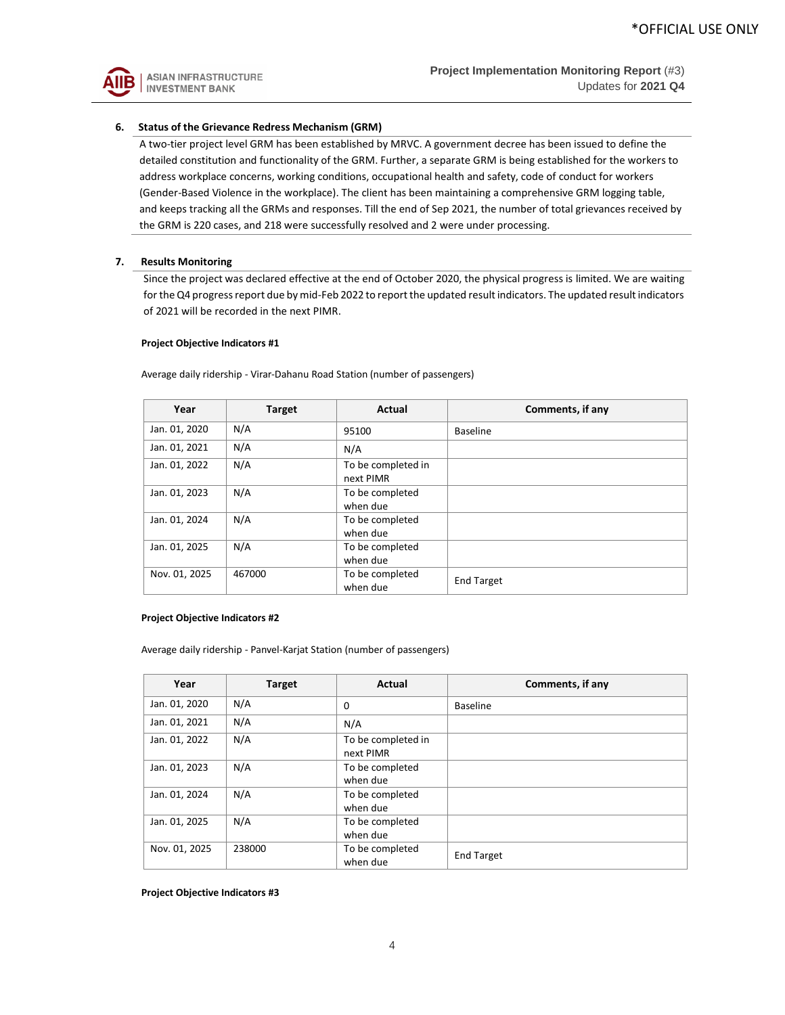

# **6. Status of the Grievance Redress Mechanism (GRM)**

A two-tier project level GRM has been established by MRVC. A government decree has been issued to define the detailed constitution and functionality of the GRM. Further, a separate GRM is being established for the workers to address workplace concerns, working conditions, occupational health and safety, code of conduct for workers (Gender-Based Violence in the workplace). The client has been maintaining a comprehensive GRM logging table, and keeps tracking all the GRMs and responses. Till the end of Sep 2021, the number of total grievances received by the GRM is 220 cases, and 218 were successfully resolved and 2 were under processing.

### **7. Results Monitoring**

Since the project was declared effective at the end of October 2020, the physical progress is limited. We are waiting for the Q4 progress report due by mid-Feb 2022 to report the updated result indicators. The updated result indicators of 2021 will be recorded in the next PIMR.

#### **Project Objective Indicators #1**

| Year          | <b>Target</b> | Actual                          | Comments, if any  |
|---------------|---------------|---------------------------------|-------------------|
| Jan. 01, 2020 | N/A           | 95100                           | <b>Baseline</b>   |
| Jan. 01, 2021 | N/A           | N/A                             |                   |
| Jan. 01, 2022 | N/A           | To be completed in<br>next PIMR |                   |
| Jan. 01, 2023 | N/A           | To be completed<br>when due     |                   |
| Jan. 01, 2024 | N/A           | To be completed<br>when due     |                   |
| Jan. 01, 2025 | N/A           | To be completed<br>when due     |                   |
| Nov. 01, 2025 | 467000        | To be completed<br>when due     | <b>End Target</b> |

Average daily ridership - Virar-Dahanu Road Station (number of passengers)

#### **Project Objective Indicators #2**

Average daily ridership - Panvel-Karjat Station (number of passengers)

| Year          | <b>Target</b> | Actual                          | Comments, if any  |
|---------------|---------------|---------------------------------|-------------------|
| Jan. 01, 2020 | N/A           | 0                               | Baseline          |
| Jan. 01, 2021 | N/A           | N/A                             |                   |
| Jan. 01, 2022 | N/A           | To be completed in<br>next PIMR |                   |
| Jan. 01, 2023 | N/A           | To be completed<br>when due     |                   |
| Jan. 01, 2024 | N/A           | To be completed<br>when due     |                   |
| Jan. 01, 2025 | N/A           | To be completed<br>when due     |                   |
| Nov. 01, 2025 | 238000        | To be completed<br>when due     | <b>End Target</b> |

**Project Objective Indicators #3**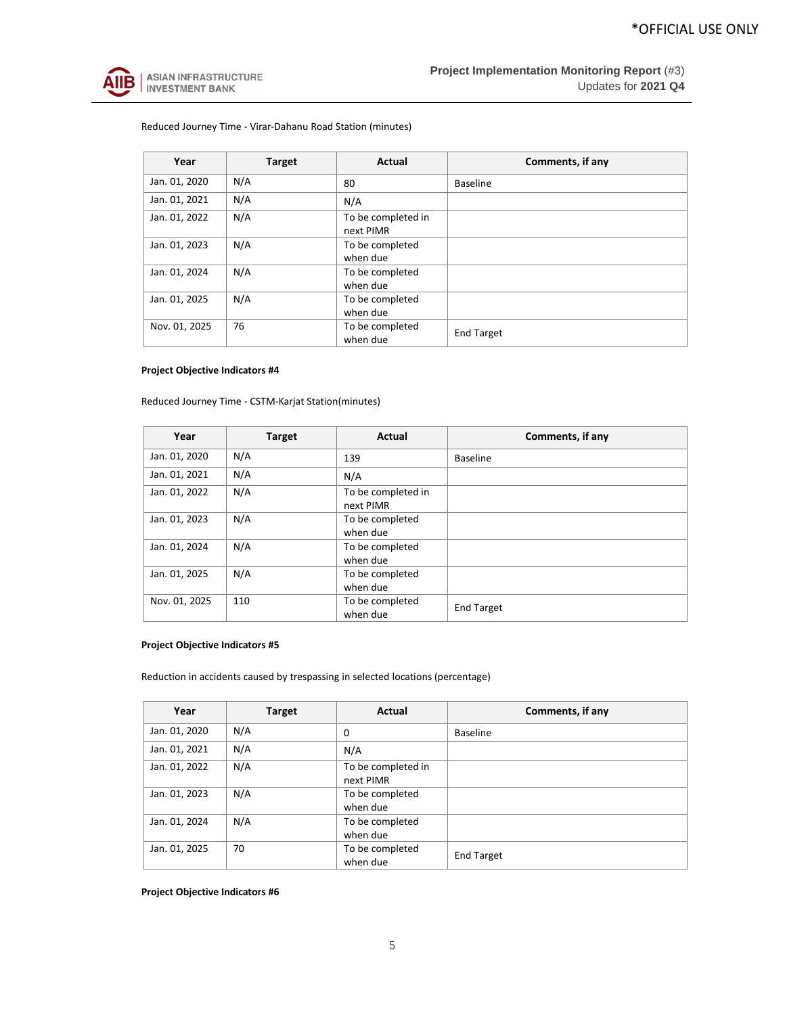

# Reduced Journey Time - Virar-Dahanu Road Station (minutes)

| Year          | <b>Target</b> | Actual                          | Comments, if any  |
|---------------|---------------|---------------------------------|-------------------|
| Jan. 01, 2020 | N/A           | 80                              | <b>Baseline</b>   |
| Jan. 01, 2021 | N/A           | N/A                             |                   |
| Jan. 01, 2022 | N/A           | To be completed in<br>next PIMR |                   |
| Jan. 01, 2023 | N/A           | To be completed<br>when due     |                   |
| Jan. 01, 2024 | N/A           | To be completed<br>when due     |                   |
| Jan. 01, 2025 | N/A           | To be completed<br>when due     |                   |
| Nov. 01, 2025 | 76            | To be completed<br>when due     | <b>End Target</b> |

# **Project Objective Indicators #4**

Reduced Journey Time - CSTM-Karjat Station(minutes)

| Year          | <b>Target</b> | Actual                          | Comments, if any  |
|---------------|---------------|---------------------------------|-------------------|
| Jan. 01, 2020 | N/A           | 139                             | <b>Baseline</b>   |
| Jan. 01, 2021 | N/A           | N/A                             |                   |
| Jan. 01, 2022 | N/A           | To be completed in<br>next PIMR |                   |
| Jan. 01, 2023 | N/A           | To be completed<br>when due     |                   |
| Jan. 01, 2024 | N/A           | To be completed<br>when due     |                   |
| Jan. 01, 2025 | N/A           | To be completed<br>when due     |                   |
| Nov. 01, 2025 | 110           | To be completed<br>when due     | <b>End Target</b> |

# **Project Objective Indicators #5**

Reduction in accidents caused by trespassing in selected locations (percentage)

| Year          | <b>Target</b> | Actual                          | Comments, if any  |
|---------------|---------------|---------------------------------|-------------------|
| Jan. 01, 2020 | N/A           | 0                               | <b>Baseline</b>   |
| Jan. 01, 2021 | N/A           | N/A                             |                   |
| Jan. 01, 2022 | N/A           | To be completed in<br>next PIMR |                   |
| Jan. 01, 2023 | N/A           | To be completed<br>when due     |                   |
| Jan. 01, 2024 | N/A           | To be completed<br>when due     |                   |
| Jan. 01, 2025 | 70            | To be completed<br>when due     | <b>End Target</b> |

**Project Objective Indicators #6**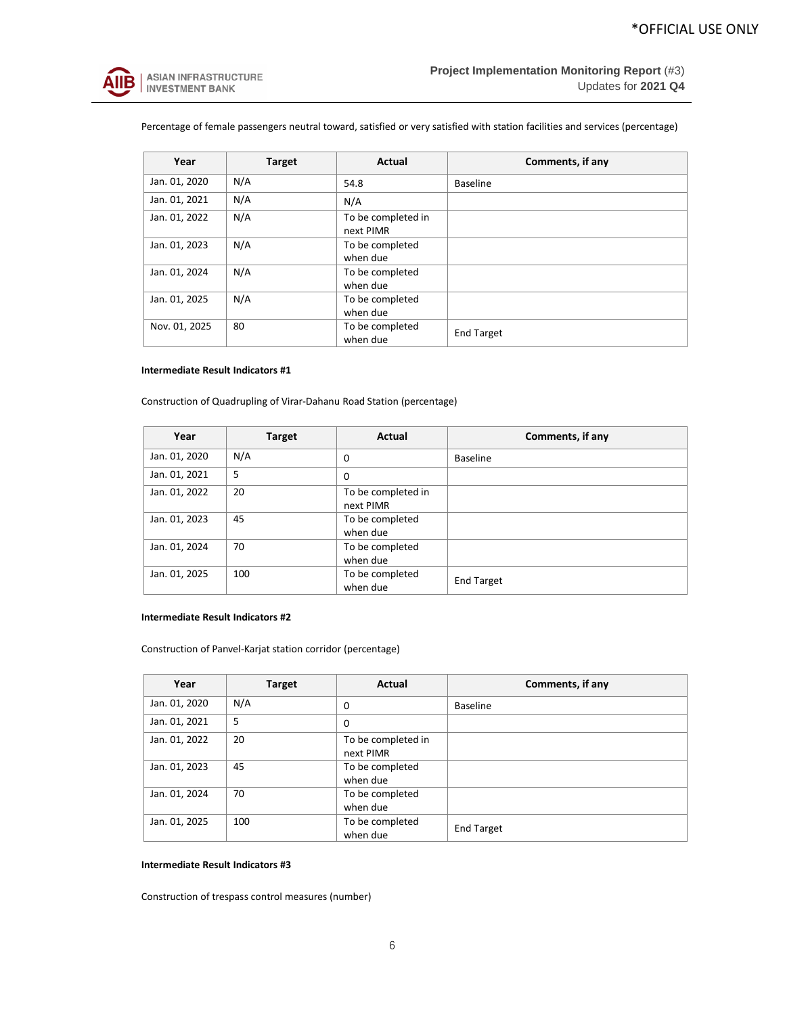

Percentage of female passengers neutral toward, satisfied or very satisfied with station facilities and services (percentage)

| Year          | <b>Target</b> | Actual                          | Comments, if any  |
|---------------|---------------|---------------------------------|-------------------|
| Jan. 01, 2020 | N/A           | 54.8                            | <b>Baseline</b>   |
| Jan. 01, 2021 | N/A           | N/A                             |                   |
| Jan. 01, 2022 | N/A           | To be completed in<br>next PIMR |                   |
| Jan. 01, 2023 | N/A           | To be completed<br>when due     |                   |
| Jan. 01, 2024 | N/A           | To be completed<br>when due     |                   |
| Jan. 01, 2025 | N/A           | To be completed<br>when due     |                   |
| Nov. 01, 2025 | 80            | To be completed<br>when due     | <b>End Target</b> |

### **Intermediate Result Indicators #1**

Construction of Quadrupling of Virar-Dahanu Road Station (percentage)

| Year          | <b>Target</b> | Actual                          | Comments, if any  |
|---------------|---------------|---------------------------------|-------------------|
| Jan. 01, 2020 | N/A           | 0                               | <b>Baseline</b>   |
| Jan. 01, 2021 | 5             | 0                               |                   |
| Jan. 01, 2022 | 20            | To be completed in<br>next PIMR |                   |
| Jan. 01, 2023 | 45            | To be completed<br>when due     |                   |
| Jan. 01, 2024 | 70            | To be completed<br>when due     |                   |
| Jan. 01, 2025 | 100           | To be completed<br>when due     | <b>End Target</b> |

## **Intermediate Result Indicators #2**

Construction of Panvel-Karjat station corridor (percentage)

| Year          | <b>Target</b> | Actual                          | Comments, if any  |
|---------------|---------------|---------------------------------|-------------------|
| Jan. 01, 2020 | N/A           | 0                               | <b>Baseline</b>   |
| Jan. 01, 2021 | 5             | $\Omega$                        |                   |
| Jan. 01, 2022 | 20            | To be completed in<br>next PIMR |                   |
| Jan. 01, 2023 | 45            | To be completed<br>when due     |                   |
| Jan. 01, 2024 | 70            | To be completed<br>when due     |                   |
| Jan. 01, 2025 | 100           | To be completed<br>when due     | <b>End Target</b> |

### **Intermediate Result Indicators #3**

Construction of trespass control measures (number)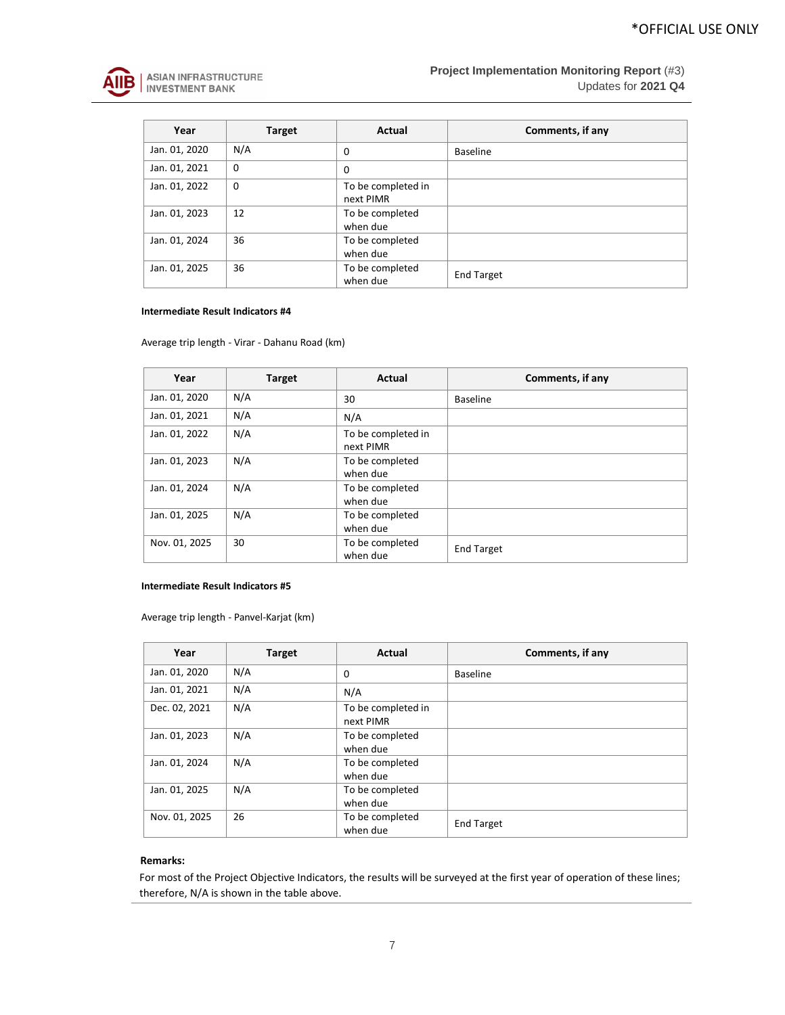

| Year          | <b>Target</b> | Actual                          | Comments, if any  |
|---------------|---------------|---------------------------------|-------------------|
| Jan. 01, 2020 | N/A           | 0                               | <b>Baseline</b>   |
| Jan. 01, 2021 | $\Omega$      | 0                               |                   |
| Jan. 01, 2022 | $\mathbf 0$   | To be completed in<br>next PIMR |                   |
| Jan. 01, 2023 | 12            | To be completed<br>when due     |                   |
| Jan. 01, 2024 | 36            | To be completed<br>when due     |                   |
| Jan. 01, 2025 | 36            | To be completed<br>when due     | <b>End Target</b> |

### **Intermediate Result Indicators #4**

Average trip length - Virar - Dahanu Road (km)

| Year          | <b>Target</b> | Actual                          | Comments, if any  |
|---------------|---------------|---------------------------------|-------------------|
| Jan. 01, 2020 | N/A           | 30                              | <b>Baseline</b>   |
| Jan. 01, 2021 | N/A           | N/A                             |                   |
| Jan. 01, 2022 | N/A           | To be completed in<br>next PIMR |                   |
| Jan. 01, 2023 | N/A           | To be completed<br>when due     |                   |
| Jan. 01, 2024 | N/A           | To be completed<br>when due     |                   |
| Jan. 01, 2025 | N/A           | To be completed<br>when due     |                   |
| Nov. 01, 2025 | 30            | To be completed<br>when due     | <b>End Target</b> |

# **Intermediate Result Indicators #5**

Average trip length - Panvel-Karjat (km)

| Year          | <b>Target</b> | Actual                          | Comments, if any  |
|---------------|---------------|---------------------------------|-------------------|
| Jan. 01, 2020 | N/A           | 0                               | <b>Baseline</b>   |
| Jan. 01, 2021 | N/A           | N/A                             |                   |
| Dec. 02, 2021 | N/A           | To be completed in<br>next PIMR |                   |
| Jan. 01, 2023 | N/A           | To be completed<br>when due     |                   |
| Jan. 01, 2024 | N/A           | To be completed<br>when due     |                   |
| Jan. 01, 2025 | N/A           | To be completed<br>when due     |                   |
| Nov. 01, 2025 | 26            | To be completed<br>when due     | <b>End Target</b> |

# **Remarks:**

For most of the Project Objective Indicators, the results will be surveyed at the first year of operation of these lines; therefore, N/A is shown in the table above.